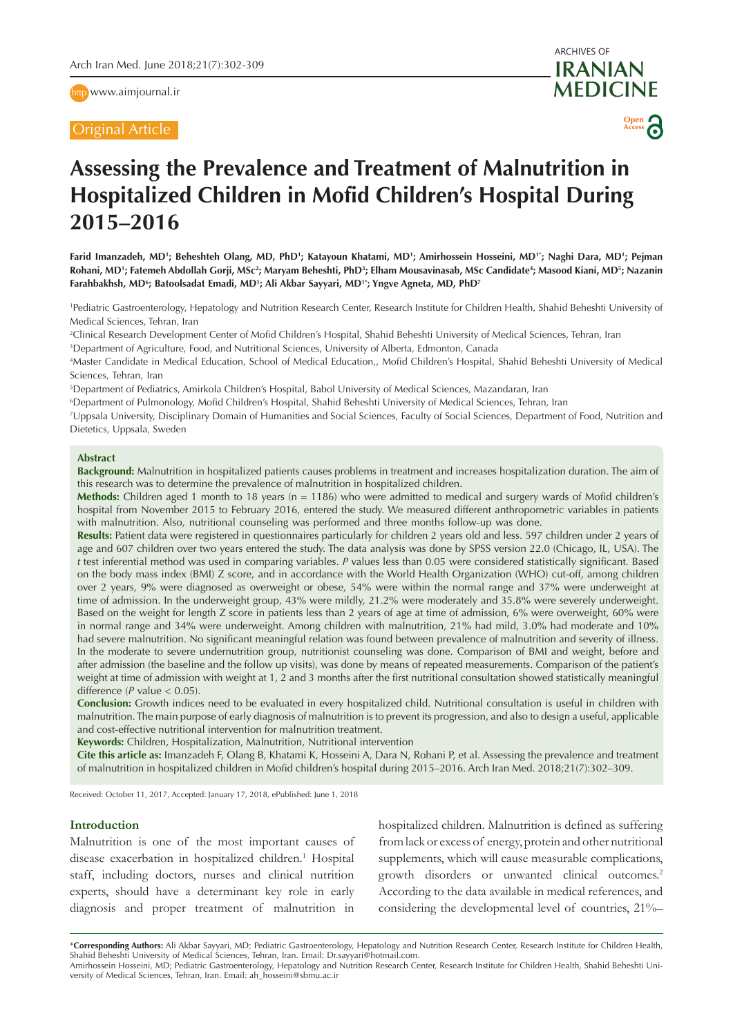http [www.aimjournal.ir](http://www.aimjournal.ir)

Original Article



# **Assessing the Prevalence and Treatment of Malnutrition in Hospitalized Children in Mofid Children's Hospital During 2015–2016**

Farid Imanzadeh, MD'; Beheshteh Olang, MD, PhD'; Katayoun Khatami, MD'; Amirhossein Hosseini, MD'<sup>;</sup>; Naghi Dara, MD'; Pejman Rohani, MD'; Fatemeh Abdollah Gorji, MSc<sup>2</sup>; Maryam Beheshti, PhD<sup>3</sup>; Elham Mousavinasab, MSc Candidate<sup>4</sup>; Masood Kiani, MD<sup>5</sup>; Nazanin Farahbakhsh, MDʻ; Batoolsadat Emadi, MD'; Ali Akbar Sayyari, MD''; Yngve Agneta, MD, PhD<sup>7</sup>

1 Pediatric Gastroenterology, Hepatology and Nutrition Research Center, Research Institute for Children Health, Shahid Beheshti University of Medical Sciences, Tehran, Iran

2 Clinical Research Development Center of Mofid Children's Hospital, Shahid Beheshti University of Medical Sciences, Tehran, Iran

3 Department of Agriculture, Food, and Nutritional Sciences, University of Alberta, Edmonton, Canada

4 Master Candidate in Medical Education, School of Medical Education,, Mofid Children's Hospital, Shahid Beheshti University of Medical Sciences, Tehran, Iran

5 Department of Pediatrics, Amirkola Children's Hospital, Babol University of Medical Sciences, Mazandaran, Iran

6 Department of Pulmonology, Mofid Children's Hospital, Shahid Beheshti University of Medical Sciences, Tehran, Iran

7 Uppsala University, Disciplinary Domain of Humanities and Social Sciences, Faculty of Social Sciences, Department of Food, Nutrition and Dietetics, Uppsala, Sweden

#### **Abstract**

**Background:** Malnutrition in hospitalized patients causes problems in treatment and increases hospitalization duration. The aim of this research was to determine the prevalence of malnutrition in hospitalized children.

**Methods:** Children aged 1 month to 18 years (n = 1186) who were admitted to medical and surgery wards of Mofid children's hospital from November 2015 to February 2016, entered the study. We measured different anthropometric variables in patients with malnutrition. Also, nutritional counseling was performed and three months follow-up was done.

**Results:** Patient data were registered in questionnaires particularly for children 2 years old and less. 597 children under 2 years of age and 607 children over two years entered the study. The data analysis was done by SPSS version 22.0 (Chicago, IL, USA). The *t* test inferential method was used in comparing variables. *P* values less than 0.05 were considered statistically significant. Based on the body mass index (BMI) Z score, and in accordance with the World Health Organization (WHO) cut-off, among children over 2 years, 9% were diagnosed as overweight or obese, 54% were within the normal range and 37% were underweight at time of admission. In the underweight group, 43% were mildly, 21.2% were moderately and 35.8% were severely underweight. Based on the weight for length Z score in patients less than 2 years of age at time of admission, 6% were overweight, 60% were in normal range and 34% were underweight. Among children with malnutrition, 21% had mild, 3.0% had moderate and 10% had severe malnutrition. No significant meaningful relation was found between prevalence of malnutrition and severity of illness. In the moderate to severe undernutrition group, nutritionist counseling was done. Comparison of BMI and weight, before and after admission (the baseline and the follow up visits), was done by means of repeated measurements. Comparison of the patient's weight at time of admission with weight at 1, 2 and 3 months after the first nutritional consultation showed statistically meaningful difference  $(P \text{ value} < 0.05)$ .

**Conclusion:** Growth indices need to be evaluated in every hospitalized child. Nutritional consultation is useful in children with malnutrition. The main purpose of early diagnosis of malnutrition is to prevent its progression, and also to design a useful, applicable and cost-effective nutritional intervention for malnutrition treatment.

**Keywords:** Children, Hospitalization, Malnutrition, Nutritional intervention

**Cite this article as:** Imanzadeh F, Olang B, Khatami K, Hosseini A, Dara N, Rohani P, et al. Assessing the prevalence and treatment of malnutrition in hospitalized children in Mofid children's hospital during 2015–2016. Arch Iran Med. 2018;21(7):302–309.

Received: October 11, 2017, Accepted: January 17, 2018, ePublished: June 1, 2018

## **Introduction**

Malnutrition is one of the most important causes of disease exacerbation in hospitalized children.<sup>1</sup> Hospital staff, including doctors, nurses and clinical nutrition experts, should have a determinant key role in early diagnosis and proper treatment of malnutrition in hospitalized children. Malnutrition is defined as suffering from lack or excess of energy, protein and other nutritional supplements, which will cause measurable complications, growth disorders or unwanted clinical outcomes.<sup>2</sup> According to the data available in medical references, and considering the developmental level of countries, 21%–

\***Corresponding Authors:** Ali Akbar Sayyari, MD; Pediatric Gastroenterology, Hepatology and Nutrition Research Center, Research Institute for Children Health, Shahid Beheshti University of Medical Sciences, Tehran, Iran. Email: Dr.sayyari@hotmail.com.

Amirhossein Hosseini, MD; Pediatric Gastroenterology, Hepatology and Nutrition Research Center, Research Institute for Children Health, Shahid Beheshti University of Medical Sciences, Tehran, Iran. Email: ah\_hosseini@sbmu.ac.ir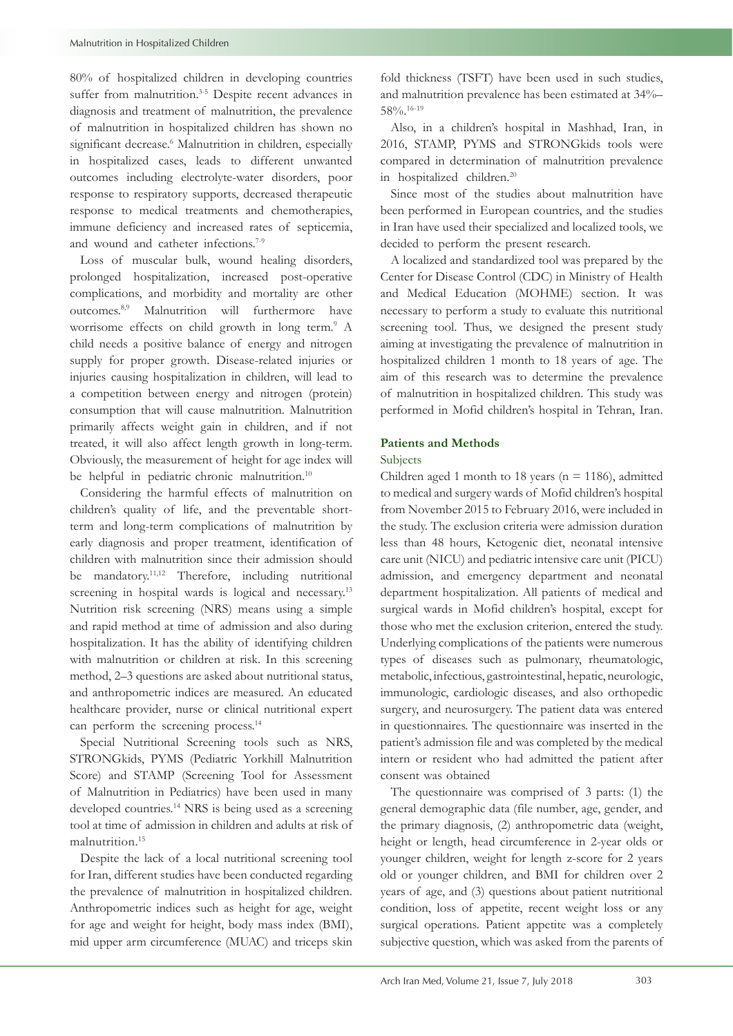80% of hospitalized children in developing countries suffer from malnutrition.<sup>3-5</sup> Despite recent advances in diagnosis and treatment of malnutrition, the prevalence of malnutrition in hospitalized children has shown no significant decrease.<sup>6</sup> Malnutrition in children, especially in hospitalized cases, leads to different unwanted outcomes including electrolyte-water disorders, poor response to respiratory supports, decreased therapeutic response to medical treatments and chemotherapies, immune deficiency and increased rates of septicemia, and wound and catheter infections.<sup>7-9</sup>

Loss of muscular bulk, wound healing disorders, prolonged hospitalization, increased post-operative complications, and morbidity and mortality are other outcomes.8,9 Malnutrition will furthermore have worrisome effects on child growth in long term.<sup>9</sup> A child needs a positive balance of energy and nitrogen supply for proper growth. Disease-related injuries or injuries causing hospitalization in children, will lead to a competition between energy and nitrogen (protein) consumption that will cause malnutrition. Malnutrition primarily affects weight gain in children, and if not treated, it will also affect length growth in long-term. Obviously, the measurement of height for age index will be helpful in pediatric chronic malnutrition.<sup>10</sup>

Considering the harmful effects of malnutrition on children's quality of life, and the preventable shortterm and long-term complications of malnutrition by early diagnosis and proper treatment, identification of children with malnutrition since their admission should be mandatory.<sup>11,12</sup> Therefore, including nutritional screening in hospital wards is logical and necessary.<sup>13</sup> Nutrition risk screening (NRS) means using a simple and rapid method at time of admission and also during hospitalization. It has the ability of identifying children with malnutrition or children at risk. In this screening method, 2–3 questions are asked about nutritional status, and anthropometric indices are measured. An educated healthcare provider, nurse or clinical nutritional expert can perform the screening process.<sup>14</sup>

Special Nutritional Screening tools such as NRS, STRONGkids, PYMS (Pediatric Yorkhill Malnutrition Score) and STAMP (Screening Tool for Assessment of Malnutrition in Pediatrics) have been used in many developed countries.<sup>14</sup> NRS is being used as a screening tool at time of admission in children and adults at risk of malnutrition.<sup>15</sup>

Despite the lack of a local nutritional screening tool for Iran, different studies have been conducted regarding the prevalence of malnutrition in hospitalized children. Anthropometric indices such as height for age, weight for age and weight for height, body mass index (BMI), mid upper arm circumference (MUAC) and triceps skin fold thickness (TSFT) have been used in such studies, and malnutrition prevalence has been estimated at 34%– 58%.16-19

Also, in a children's hospital in Mashhad, Iran, in 2016, STAMP, PYMS and STRONGkids tools were compared in determination of malnutrition prevalence in hospitalized children.20

Since most of the studies about malnutrition have been performed in European countries, and the studies in Iran have used their specialized and localized tools, we decided to perform the present research.

A localized and standardized tool was prepared by the Center for Disease Control (CDC) in Ministry of Health and Medical Education (MOHME) section. It was necessary to perform a study to evaluate this nutritional screening tool. Thus, we designed the present study aiming at investigating the prevalence of malnutrition in hospitalized children 1 month to 18 years of age. The aim of this research was to determine the prevalence of malnutrition in hospitalized children. This study was performed in Mofid children's hospital in Tehran, Iran.

# **Patients and Methods**

## Subjects

Children aged 1 month to 18 years ( $n = 1186$ ), admitted to medical and surgery wards of Mofid children's hospital from November 2015 to February 2016, were included in the study. The exclusion criteria were admission duration less than 48 hours, Ketogenic diet, neonatal intensive care unit (NICU) and pediatric intensive care unit (PICU) admission, and emergency department and neonatal department hospitalization. All patients of medical and surgical wards in Mofid children's hospital, except for those who met the exclusion criterion, entered the study. Underlying complications of the patients were numerous types of diseases such as pulmonary, rheumatologic, metabolic, infectious, gastrointestinal, hepatic, neurologic, immunologic, cardiologic diseases, and also orthopedic surgery, and neurosurgery. The patient data was entered in questionnaires. The questionnaire was inserted in the patient's admission file and was completed by the medical intern or resident who had admitted the patient after consent was obtained

The questionnaire was comprised of 3 parts: (1) the general demographic data (file number, age, gender, and the primary diagnosis, (2) anthropometric data (weight, height or length, head circumference in 2-year olds or younger children, weight for length z-score for 2 years old or younger children, and BMI for children over 2 years of age, and (3) questions about patient nutritional condition, loss of appetite, recent weight loss or any surgical operations. Patient appetite was a completely subjective question, which was asked from the parents of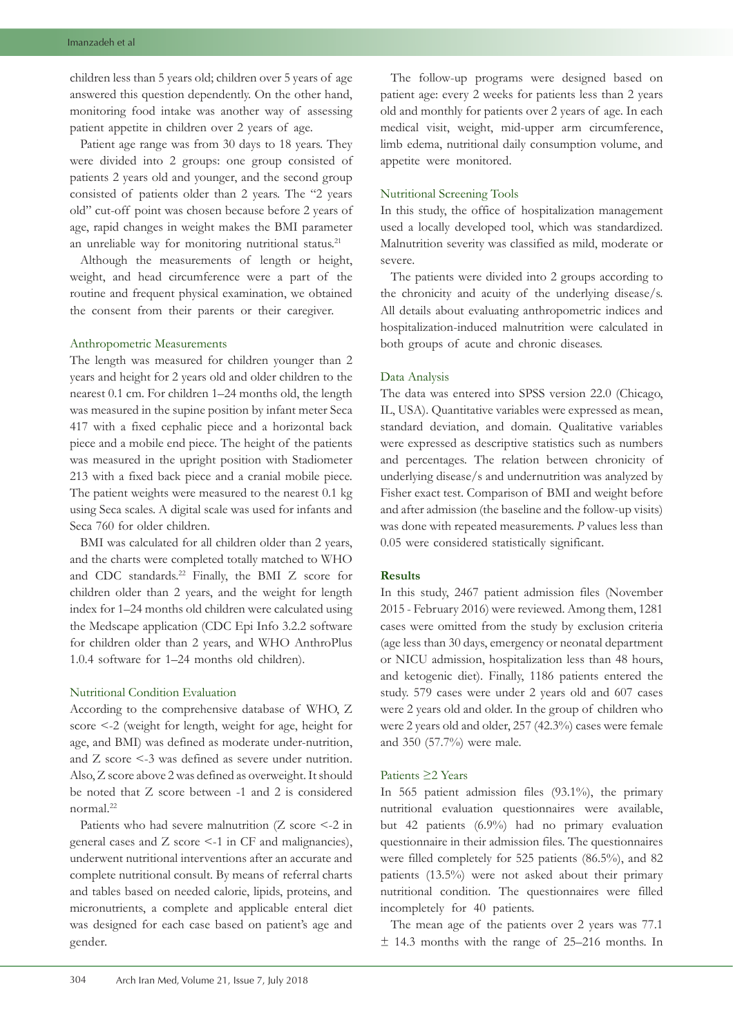children less than 5 years old; children over 5 years of age answered this question dependently. On the other hand, monitoring food intake was another way of assessing patient appetite in children over 2 years of age.

Patient age range was from 30 days to 18 years. They were divided into 2 groups: one group consisted of patients 2 years old and younger, and the second group consisted of patients older than 2 years. The "2 years old" cut-off point was chosen because before 2 years of age, rapid changes in weight makes the BMI parameter an unreliable way for monitoring nutritional status.<sup>21</sup>

Although the measurements of length or height, weight, and head circumference were a part of the routine and frequent physical examination, we obtained the consent from their parents or their caregiver.

## Anthropometric Measurements

The length was measured for children younger than 2 years and height for 2 years old and older children to the nearest 0.1 cm. For children 1–24 months old, the length was measured in the supine position by infant meter Seca 417 with a fixed cephalic piece and a horizontal back piece and a mobile end piece. The height of the patients was measured in the upright position with Stadiometer 213 with a fixed back piece and a cranial mobile piece. The patient weights were measured to the nearest 0.1 kg using Seca scales. A digital scale was used for infants and Seca 760 for older children.

BMI was calculated for all children older than 2 years, and the charts were completed totally matched to WHO and CDC standards.<sup>22</sup> Finally, the BMI Z score for children older than 2 years, and the weight for length index for 1–24 months old children were calculated using the Medscape application (CDC Epi Info 3.2.2 software for children older than 2 years, and WHO AnthroPlus 1.0.4 software for 1–24 months old children).

#### Nutritional Condition Evaluation

According to the comprehensive database of WHO, Z score <-2 (weight for length, weight for age, height for age, and BMI) was defined as moderate under-nutrition, and Z score <-3 was defined as severe under nutrition. Also, Z score above 2 was defined as overweight. It should be noted that Z score between -1 and 2 is considered normal.22

Patients who had severe malnutrition (Z score <-2 in general cases and Z score <-1 in CF and malignancies), underwent nutritional interventions after an accurate and complete nutritional consult. By means of referral charts and tables based on needed calorie, lipids, proteins, and micronutrients, a complete and applicable enteral diet was designed for each case based on patient's age and gender.

The follow-up programs were designed based on patient age: every 2 weeks for patients less than 2 years old and monthly for patients over 2 years of age. In each medical visit, weight, mid-upper arm circumference, limb edema, nutritional daily consumption volume, and appetite were monitored.

## Nutritional Screening Tools

In this study, the office of hospitalization management used a locally developed tool, which was standardized. Malnutrition severity was classified as mild, moderate or severe.

The patients were divided into 2 groups according to the chronicity and acuity of the underlying disease/s. All details about evaluating anthropometric indices and hospitalization-induced malnutrition were calculated in both groups of acute and chronic diseases.

## Data Analysis

The data was entered into SPSS version 22.0 (Chicago, IL, USA). Quantitative variables were expressed as mean, standard deviation, and domain. Qualitative variables were expressed as descriptive statistics such as numbers and percentages. The relation between chronicity of underlying disease/s and undernutrition was analyzed by Fisher exact test. Comparison of BMI and weight before and after admission (the baseline and the follow-up visits) was done with repeated measurements. *P* values less than 0.05 were considered statistically significant.

## **Results**

In this study, 2467 patient admission files (November 2015 - February 2016) were reviewed. Among them, 1281 cases were omitted from the study by exclusion criteria (age less than 30 days, emergency or neonatal department or NICU admission, hospitalization less than 48 hours, and ketogenic diet). Finally, 1186 patients entered the study. 579 cases were under 2 years old and 607 cases were 2 years old and older. In the group of children who were 2 years old and older, 257 (42.3%) cases were female and 350 (57.7%) were male.

# Patients ≥2 Years

In 565 patient admission files (93.1%), the primary nutritional evaluation questionnaires were available, but 42 patients (6.9%) had no primary evaluation questionnaire in their admission files. The questionnaires were filled completely for 525 patients (86.5%), and 82 patients (13.5%) were not asked about their primary nutritional condition. The questionnaires were filled incompletely for 40 patients.

The mean age of the patients over 2 years was 77.1 ± 14.3 months with the range of 25–216 months. In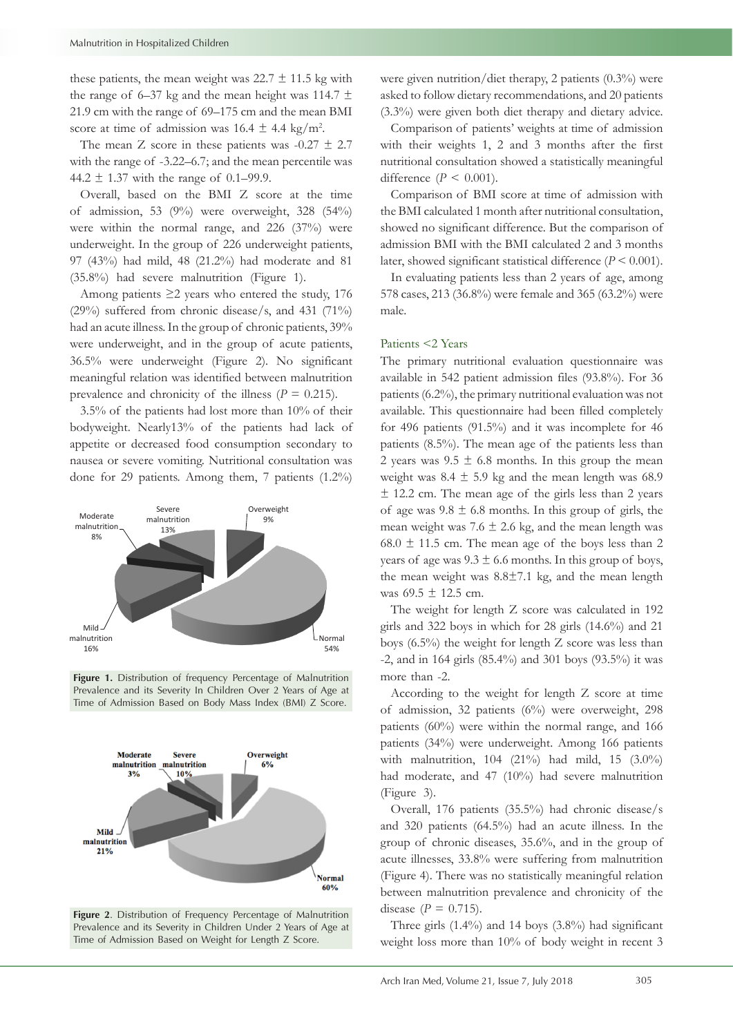these patients, the mean weight was  $22.7 \pm 11.5$  kg with the range of 6–37 kg and the mean height was 114.7  $\pm$ 21.9 cm with the range of 69–175 cm and the mean BMI score at time of admission was  $16.4 \pm 4.4$  kg/m<sup>2</sup>.

The mean Z score in these patients was  $-0.27 \pm 2.7$ with the range of -3.22–6.7; and the mean percentile was 44.2  $\pm$  1.37 with the range of 0.1–99.9.

Overall, based on the BMI Z score at the time of admission, 53 (9%) were overweight, 328 (54%) were within the normal range, and 226 (37%) were underweight. In the group of 226 underweight patients, 97 (43%) had mild, 48 (21.2%) had moderate and 81 (35.8%) had severe malnutrition (Figure 1).

Among patients  $\geq$ 2 years who entered the study, 176 (29%) suffered from chronic disease/s, and 431 (71%) had an acute illness. In the group of chronic patients, 39% were underweight, and in the group of acute patients, 36.5% were underweight (Figure 2). No significant meaningful relation was identified between malnutrition prevalence and chronicity of the illness ( $P = 0.215$ ).

3.5% of the patients had lost more than 10% of their bodyweight. Nearly13% of the patients had lack of appetite or decreased food consumption secondary to nausea or severe vomiting. Nutritional consultation was done for 29 patients. Among them, 7 patients (1.2%)



**Figure 1.** Distribution of frequency Percentage of Malnutrition Prevalence and its Severity In Children Over 2 Years of Age at Time of Admission Based on Body Mass Index (BMI) Z Score.



**Figure 2**. Distribution of Frequency Percentage of Malnutrition Prevalence and its Severity in Children Under 2 Years of Age at Time of Admission Based on Weight for Length Z Score.

were given nutrition/diet therapy, 2 patients (0.3%) were asked to follow dietary recommendations, and 20 patients (3.3%) were given both diet therapy and dietary advice.

Comparison of patients' weights at time of admission with their weights 1, 2 and 3 months after the first nutritional consultation showed a statistically meaningful difference  $(P < 0.001)$ .

Comparison of BMI score at time of admission with the BMI calculated 1 month after nutritional consultation, showed no significant difference. But the comparison of admission BMI with the BMI calculated 2 and 3 months later, showed significant statistical difference (*P* < 0.001).

In evaluating patients less than 2 years of age, among 578 cases, 213 (36.8%) were female and 365 (63.2%) were male.

### Patients <2 Years

The primary nutritional evaluation questionnaire was available in 542 patient admission files (93.8%). For 36 patients (6.2%), the primary nutritional evaluation was not available. This questionnaire had been filled completely for 496 patients (91.5%) and it was incomplete for 46 patients (8.5%). The mean age of the patients less than 2 years was  $9.5 \pm 6.8$  months. In this group the mean weight was  $8.4 \pm 5.9$  kg and the mean length was 68.9  $\pm$  12.2 cm. The mean age of the girls less than 2 years of age was  $9.8 \pm 6.8$  months. In this group of girls, the mean weight was  $7.6 \pm 2.6$  kg, and the mean length was 68.0  $\pm$  11.5 cm. The mean age of the boys less than 2 years of age was  $9.3 \pm 6.6$  months. In this group of boys, the mean weight was 8.8±7.1 kg, and the mean length was  $69.5 \pm 12.5$  cm.

The weight for length Z score was calculated in 192 girls and 322 boys in which for 28 girls (14.6%) and 21 boys (6.5%) the weight for length Z score was less than  $-2$ , and in 164 girls (85.4%) and 301 boys (93.5%) it was more than -2.

According to the weight for length Z score at time of admission, 32 patients (6%) were overweight, 298 patients (60%) were within the normal range, and 166 patients (34%) were underweight. Among 166 patients with malnutrition, 104 (21%) had mild, 15 (3.0%) had moderate, and 47 (10%) had severe malnutrition (Figure 3).

Overall, 176 patients (35.5%) had chronic disease/s and 320 patients (64.5%) had an acute illness. In the group of chronic diseases, 35.6%, and in the group of acute illnesses, 33.8% were suffering from malnutrition (Figure 4). There was no statistically meaningful relation between malnutrition prevalence and chronicity of the disease ( $P = 0.715$ ).

Three girls (1.4%) and 14 boys (3.8%) had significant weight loss more than 10% of body weight in recent 3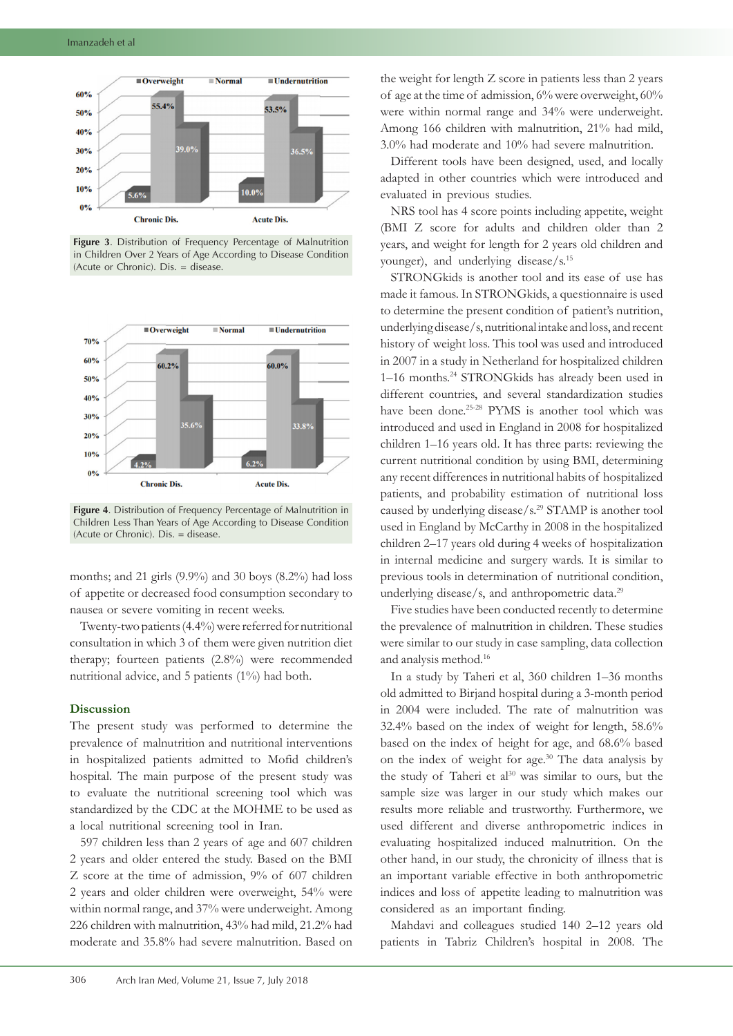

**Figure 3**. Distribution of Frequency Percentage of Malnutrition in Children Over 2 Years of Age According to Disease Condition (Acute or Chronic). Dis. = disease.



**Figure 4**. Distribution of Frequency Percentage of Malnutrition in Children Less Than Years of Age According to Disease Condition (Acute or Chronic). Dis. = disease.

months; and 21 girls (9.9%) and 30 boys (8.2%) had loss of appetite or decreased food consumption secondary to nausea or severe vomiting in recent weeks.

Twenty-two patients (4.4%) were referred for nutritional consultation in which 3 of them were given nutrition diet therapy; fourteen patients (2.8%) were recommended nutritional advice, and 5 patients (1%) had both.

## **Discussion**

The present study was performed to determine the prevalence of malnutrition and nutritional interventions in hospitalized patients admitted to Mofid children's hospital. The main purpose of the present study was to evaluate the nutritional screening tool which was standardized by the CDC at the MOHME to be used as a local nutritional screening tool in Iran.

597 children less than 2 years of age and 607 children 2 years and older entered the study. Based on the BMI Z score at the time of admission, 9% of 607 children 2 years and older children were overweight, 54% were within normal range, and 37% were underweight. Among 226 children with malnutrition, 43% had mild, 21.2% had moderate and 35.8% had severe malnutrition. Based on

the weight for length Z score in patients less than 2 years of age at the time of admission, 6% were overweight, 60% were within normal range and 34% were underweight. Among 166 children with malnutrition, 21% had mild, 3.0% had moderate and 10% had severe malnutrition.

Different tools have been designed, used, and locally adapted in other countries which were introduced and evaluated in previous studies.

NRS tool has 4 score points including appetite, weight (BMI Z score for adults and children older than 2 years, and weight for length for 2 years old children and younger), and underlying disease/s.15

STRONGkids is another tool and its ease of use has made it famous. In STRONGkids, a questionnaire is used to determine the present condition of patient's nutrition, underlying disease/s, nutritional intake and loss, and recent history of weight loss. This tool was used and introduced in 2007 in a study in Netherland for hospitalized children 1–16 months.24 STRONGkids has already been used in different countries, and several standardization studies have been done.<sup>25-28</sup> PYMS is another tool which was introduced and used in England in 2008 for hospitalized children 1–16 years old. It has three parts: reviewing the current nutritional condition by using BMI, determining any recent differences in nutritional habits of hospitalized patients, and probability estimation of nutritional loss caused by underlying disease/s.29 STAMP is another tool used in England by McCarthy in 2008 in the hospitalized children 2–17 years old during 4 weeks of hospitalization in internal medicine and surgery wards. It is similar to previous tools in determination of nutritional condition, underlying disease/s, and anthropometric data.<sup>29</sup>

Five studies have been conducted recently to determine the prevalence of malnutrition in children. These studies were similar to our study in case sampling, data collection and analysis method.16

In a study by Taheri et al, 360 children 1–36 months old admitted to Birjand hospital during a 3-month period in 2004 were included. The rate of malnutrition was 32.4% based on the index of weight for length, 58.6% based on the index of height for age, and 68.6% based on the index of weight for age.30 The data analysis by the study of Taheri et al<sup>30</sup> was similar to ours, but the sample size was larger in our study which makes our results more reliable and trustworthy. Furthermore, we used different and diverse anthropometric indices in evaluating hospitalized induced malnutrition. On the other hand, in our study, the chronicity of illness that is an important variable effective in both anthropometric indices and loss of appetite leading to malnutrition was considered as an important finding.

Mahdavi and colleagues studied 140 2–12 years old patients in Tabriz Children's hospital in 2008. The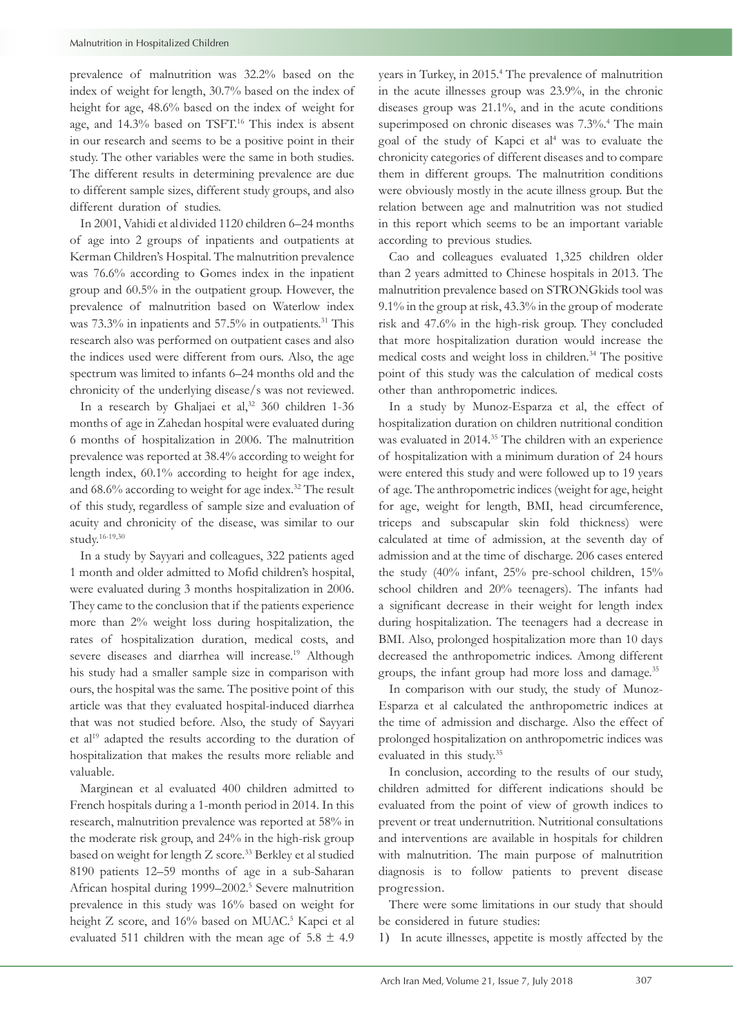prevalence of malnutrition was 32.2% based on the index of weight for length, 30.7% based on the index of height for age, 48.6% based on the index of weight for age, and 14.3% based on TSFT.<sup>16</sup> This index is absent in our research and seems to be a positive point in their study. The other variables were the same in both studies. The different results in determining prevalence are due to different sample sizes, different study groups, and also different duration of studies.

In 2001, Vahidi et aldivided 1120 children 6–24 months of age into 2 groups of inpatients and outpatients at Kerman Children's Hospital. The malnutrition prevalence was 76.6% according to Gomes index in the inpatient group and 60.5% in the outpatient group. However, the prevalence of malnutrition based on Waterlow index was 73.3% in inpatients and 57.5% in outpatients.<sup>31</sup> This research also was performed on outpatient cases and also the indices used were different from ours. Also, the age spectrum was limited to infants 6–24 months old and the chronicity of the underlying disease/s was not reviewed.

In a research by Ghaljaei et al,<sup>32</sup> 360 children 1-36 months of age in Zahedan hospital were evaluated during 6 months of hospitalization in 2006. The malnutrition prevalence was reported at 38.4% according to weight for length index, 60.1% according to height for age index, and 68.6% according to weight for age index.32 The result of this study, regardless of sample size and evaluation of acuity and chronicity of the disease, was similar to our study.16-19,30

In a study by Sayyari and colleagues, 322 patients aged 1 month and older admitted to Mofid children's hospital, were evaluated during 3 months hospitalization in 2006. They came to the conclusion that if the patients experience more than 2% weight loss during hospitalization, the rates of hospitalization duration, medical costs, and severe diseases and diarrhea will increase.<sup>19</sup> Although his study had a smaller sample size in comparison with ours, the hospital was the same. The positive point of this article was that they evaluated hospital-induced diarrhea that was not studied before. Also, the study of Sayyari et al<sup>19</sup> adapted the results according to the duration of hospitalization that makes the results more reliable and valuable.

Marginean et al evaluated 400 children admitted to French hospitals during a 1-month period in 2014. In this research, malnutrition prevalence was reported at 58% in the moderate risk group, and 24% in the high-risk group based on weight for length Z score.33 Berkley et al studied 8190 patients 12–59 months of age in a sub-Saharan African hospital during 1999–2002.5 Severe malnutrition prevalence in this study was 16% based on weight for height Z score, and 16% based on MUAC.<sup>5</sup> Kapci et al evaluated 511 children with the mean age of  $5.8 \pm 4.9$ 

years in Turkey, in 2015.<sup>4</sup> The prevalence of malnutrition in the acute illnesses group was 23.9%, in the chronic diseases group was 21.1%, and in the acute conditions superimposed on chronic diseases was 7.3%.<sup>4</sup> The main goal of the study of Kapci et al<sup>4</sup> was to evaluate the chronicity categories of different diseases and to compare them in different groups. The malnutrition conditions were obviously mostly in the acute illness group. But the relation between age and malnutrition was not studied in this report which seems to be an important variable according to previous studies.

Cao and colleagues evaluated 1,325 children older than 2 years admitted to Chinese hospitals in 2013. The malnutrition prevalence based on STRONGkids tool was 9.1% in the group at risk, 43.3% in the group of moderate risk and 47.6% in the high-risk group. They concluded that more hospitalization duration would increase the medical costs and weight loss in children.34 The positive point of this study was the calculation of medical costs other than anthropometric indices.

In a study by Munoz-Esparza et al, the effect of hospitalization duration on children nutritional condition was evaluated in 2014.<sup>35</sup> The children with an experience of hospitalization with a minimum duration of 24 hours were entered this study and were followed up to 19 years of age. The anthropometric indices (weight for age, height for age, weight for length, BMI, head circumference, triceps and subscapular skin fold thickness) were calculated at time of admission, at the seventh day of admission and at the time of discharge. 206 cases entered the study (40% infant, 25% pre-school children, 15% school children and 20% teenagers). The infants had a significant decrease in their weight for length index during hospitalization. The teenagers had a decrease in BMI. Also, prolonged hospitalization more than 10 days decreased the anthropometric indices. Among different groups, the infant group had more loss and damage.35

In comparison with our study, the study of Munoz-Esparza et al calculated the anthropometric indices at the time of admission and discharge. Also the effect of prolonged hospitalization on anthropometric indices was evaluated in this study.35

In conclusion, according to the results of our study, children admitted for different indications should be evaluated from the point of view of growth indices to prevent or treat undernutrition. Nutritional consultations and interventions are available in hospitals for children with malnutrition. The main purpose of malnutrition diagnosis is to follow patients to prevent disease progression.

There were some limitations in our study that should be considered in future studies:

1) In acute illnesses, appetite is mostly affected by the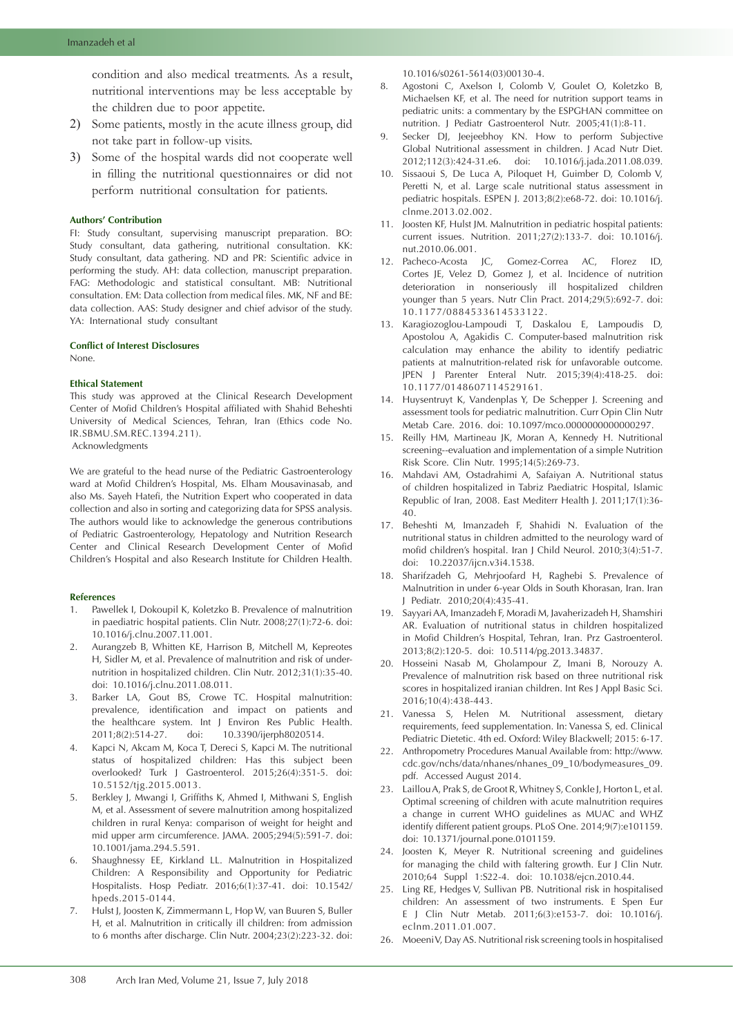condition and also medical treatments. As a result, nutritional interventions may be less acceptable by the children due to poor appetite.

- 2) Some patients, mostly in the acute illness group, did not take part in follow-up visits.
- 3) Some of the hospital wards did not cooperate well in filling the nutritional questionnaires or did not perform nutritional consultation for patients.

#### **Authors' Contribution**

FI: Study consultant, supervising manuscript preparation. BO: Study consultant, data gathering, nutritional consultation. KK: Study consultant, data gathering. ND and PR: Scientific advice in performing the study. AH: data collection, manuscript preparation. FAG: Methodologic and statistical consultant. MB: Nutritional consultation. EM: Data collection from medical files. MK, NF and BE: data collection. AAS: Study designer and chief advisor of the study. YA: International study consultant

### **Conflict of Interest Disclosures**

None.

#### **Ethical Statement**

This study was approved at the Clinical Research Development Center of Mofid Children's Hospital affiliated with Shahid Beheshti University of Medical Sciences, Tehran, Iran (Ethics code No. IR.SBMU.SM.REC.1394.211).

Acknowledgments

We are grateful to the head nurse of the Pediatric Gastroenterology ward at Mofid Children's Hospital, Ms. Elham Mousavinasab, and also Ms. Sayeh Hatefi, the Nutrition Expert who cooperated in data collection and also in sorting and categorizing data for SPSS analysis. The authors would like to acknowledge the generous contributions of Pediatric Gastroenterology, Hepatology and Nutrition Research Center and Clinical Research Development Center of Mofid Children's Hospital and also Research Institute for Children Health.

#### **References**

- 1. Pawellek I, Dokoupil K, Koletzko B. Prevalence of malnutrition in paediatric hospital patients. Clin Nutr. 2008;27(1):72-6. doi: 10.1016/j.clnu.2007.11.001.
- 2. Aurangzeb B, Whitten KE, Harrison B, Mitchell M, Kepreotes H, Sidler M, et al. Prevalence of malnutrition and risk of undernutrition in hospitalized children. Clin Nutr. 2012;31(1):35-40. doi: 10.1016/j.clnu.2011.08.011.
- Barker LA, Gout BS, Crowe TC. Hospital malnutrition: prevalence, identification and impact on patients and the healthcare system. Int J Environ Res Public Health. 2011;8(2):514-27. doi: 10.3390/ijerph8020514.
- 4. Kapci N, Akcam M, Koca T, Dereci S, Kapci M. The nutritional status of hospitalized children: Has this subject been overlooked? Turk J Gastroenterol. 2015;26(4):351-5. doi: 10.5152/tjg.2015.0013.
- 5. Berkley J, Mwangi I, Griffiths K, Ahmed I, Mithwani S, English M, et al. Assessment of severe malnutrition among hospitalized children in rural Kenya: comparison of weight for height and mid upper arm circumference. JAMA. 2005;294(5):591-7. doi: 10.1001/jama.294.5.591.
- 6. Shaughnessy EE, Kirkland LL. Malnutrition in Hospitalized Children: A Responsibility and Opportunity for Pediatric Hospitalists. Hosp Pediatr. 2016;6(1):37-41. doi: 10.1542/ hpeds.2015-0144.
- 7. Hulst J, Joosten K, Zimmermann L, Hop W, van Buuren S, Buller H, et al. Malnutrition in critically ill children: from admission to 6 months after discharge. Clin Nutr. 2004;23(2):223-32. doi:

10.1016/s0261-5614(03)00130-4.

- 8. Agostoni C, Axelson I, Colomb V, Goulet O, Koletzko B, Michaelsen KF, et al. The need for nutrition support teams in pediatric units: a commentary by the ESPGHAN committee on nutrition. J Pediatr Gastroenterol Nutr. 2005;41(1):8-11.
- 9. Secker DJ, Jeejeebhoy KN. How to perform Subjective Global Nutritional assessment in children. J Acad Nutr Diet. 2012;112(3):424-31.e6. doi: 10.1016/j.jada.2011.08.039.
- 10. Sissaoui S, De Luca A, Piloquet H, Guimber D, Colomb V, Peretti N, et al. Large scale nutritional status assessment in pediatric hospitals. ESPEN J. 2013;8(2):e68-72. doi: 10.1016/j. clnme.2013.02.002.
- 11. Joosten KF, Hulst JM. Malnutrition in pediatric hospital patients: current issues. Nutrition. 2011;27(2):133-7. doi: 10.1016/j. nut.2010.06.001.
- 12. Pacheco-Acosta JC, Gomez-Correa AC, Florez ID, Cortes JE, Velez D, Gomez J, et al. Incidence of nutrition deterioration in nonseriously ill hospitalized children younger than 5 years. Nutr Clin Pract. 2014;29(5):692-7. doi: 10.1177/0884533614533122.
- 13. Karagiozoglou-Lampoudi T, Daskalou E, Lampoudis D, Apostolou A, Agakidis C. Computer-based malnutrition risk calculation may enhance the ability to identify pediatric patients at malnutrition-related risk for unfavorable outcome. JPEN J Parenter Enteral Nutr. 2015;39(4):418-25. doi: 10.1177/0148607114529161.
- 14. Huysentruyt K, Vandenplas Y, De Schepper J. Screening and assessment tools for pediatric malnutrition. Curr Opin Clin Nutr Metab Care. 2016. doi: 10.1097/mco.0000000000000297.
- 15. Reilly HM, Martineau JK, Moran A, Kennedy H. Nutritional screening--evaluation and implementation of a simple Nutrition Risk Score. Clin Nutr. 1995;14(5):269-73.
- 16. Mahdavi AM, Ostadrahimi A, Safaiyan A. Nutritional status of children hospitalized in Tabriz Paediatric Hospital, Islamic Republic of Iran, 2008. East Mediterr Health J. 2011;17(1):36- 40.
- 17. Beheshti M, Imanzadeh F, Shahidi N. Evaluation of the nutritional status in children admitted to the neurology ward of mofid children's hospital. Iran J Child Neurol. 2010;3(4):51-7. doi: 10.22037/ijcn.v3i4.1538.
- 18. Sharifzadeh G, Mehrjoofard H, Raghebi S. Prevalence of Malnutrition in under 6-year Olds in South Khorasan, Iran. Iran J Pediatr. 2010;20(4):435-41.
- 19. Sayyari AA, Imanzadeh F, Moradi M, Javaherizadeh H, Shamshiri AR. Evaluation of nutritional status in children hospitalized in Mofid Children's Hospital, Tehran, Iran. Prz Gastroenterol. 2013;8(2):120-5. doi: 10.5114/pg.2013.34837.
- 20. Hosseini Nasab M, Gholampour Z, Imani B, Norouzy A. Prevalence of malnutrition risk based on three nutritional risk scores in hospitalized iranian children. Int Res J Appl Basic Sci. 2016;10(4):438-443.
- 21. Vanessa S, Helen M. Nutritional assessment, dietary requirements, feed supplementation. In: Vanessa S, ed. Clinical Pediatric Dietetic. 4th ed. Oxford: Wiley Blackwell; 2015: 6-17.
- 22. Anthropometry Procedures Manual Available from: http://www. cdc.gov/nchs/data/nhanes/nhanes\_09\_10/bodymeasures\_09. pdf. Accessed August 2014.
- 23. Laillou A, Prak S, de Groot R, Whitney S, Conkle J, Horton L, et al. Optimal screening of children with acute malnutrition requires a change in current WHO guidelines as MUAC and WHZ identify different patient groups. PLoS One. 2014;9(7):e101159. doi: 10.1371/journal.pone.0101159.
- 24. Joosten K, Meyer R. Nutritional screening and guidelines for managing the child with faltering growth. Eur J Clin Nutr. 2010;64 Suppl 1:S22-4. doi: 10.1038/ejcn.2010.44.
- 25. Ling RE, Hedges V, Sullivan PB. Nutritional risk in hospitalised children: An assessment of two instruments. E Spen Eur E J Clin Nutr Metab. 2011;6(3):e153-7. doi: 10.1016/j. eclnm.2011.01.007.
- 26. Moeeni V, Day AS. Nutritional risk screening tools in hospitalised